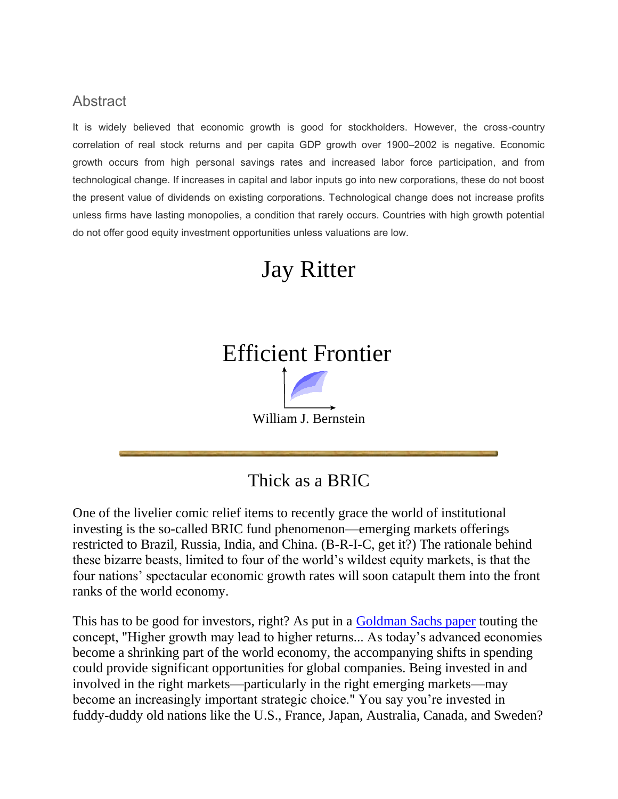### **Abstract**

It is widely believed that economic growth is good for stockholders. However, the cross-country correlation of real stock returns and per capita GDP growth over 1900–2002 is negative. Economic growth occurs from high personal savings rates and increased labor force participation, and from technological change. If increases in capital and labor inputs go into new corporations, these do not boost the present value of dividends on existing corporations. Technological change does not increase profits unless firms have lasting monopolies, a condition that rarely occurs. Countries with high growth potential do not offer good equity investment opportunities unless valuations are low.

## Jay Ritter

# Efficient Frontier William J. Bernstein

### Thick as a BRIC

One of the livelier comic relief items to recently grace the world of institutional investing is the so-called BRIC fund phenomenon—emerging markets offerings restricted to Brazil, Russia, India, and China. (B-R-I-C, get it?) The rationale behind these bizarre beasts, limited to four of the world's wildest equity markets, is that the four nations' spectacular economic growth rates will soon catapult them into the front ranks of the world economy.

This has to be good for investors, right? As put in a [Goldman Sachs paper](http://www2.goldmansachs.com/insight/research/reports/99.pdf) touting the concept, "Higher growth may lead to higher returns... As today's advanced economies become a shrinking part of the world economy, the accompanying shifts in spending could provide significant opportunities for global companies. Being invested in and involved in the right markets—particularly in the right emerging markets—may become an increasingly important strategic choice." You say you're invested in fuddy-duddy old nations like the U.S., France, Japan, Australia, Canada, and Sweden?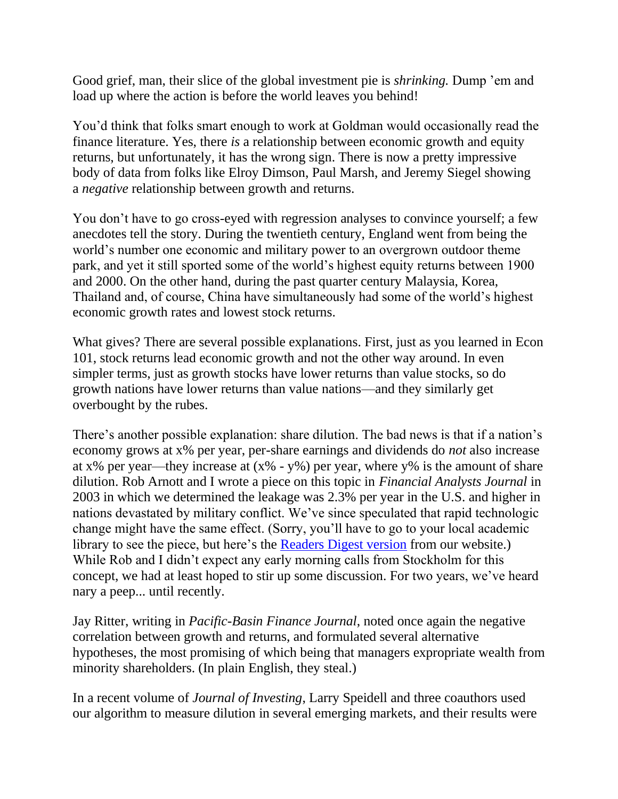Good grief, man, their slice of the global investment pie is *shrinking.* Dump 'em and load up where the action is before the world leaves you behind!

You'd think that folks smart enough to work at Goldman would occasionally read the finance literature. Yes, there *is* a relationship between economic growth and equity returns, but unfortunately, it has the wrong sign. There is now a pretty impressive body of data from folks like Elroy Dimson, Paul Marsh, and Jeremy Siegel showing a *negative* relationship between growth and returns.

You don't have to go cross-eyed with regression analyses to convince yourself; a few anecdotes tell the story. During the twentieth century, England went from being the world's number one economic and military power to an overgrown outdoor theme park, and yet it still sported some of the world's highest equity returns between 1900 and 2000. On the other hand, during the past quarter century Malaysia, Korea, Thailand and, of course, China have simultaneously had some of the world's highest economic growth rates and lowest stock returns.

What gives? There are several possible explanations. First, just as you learned in Econ 101, stock returns lead economic growth and not the other way around. In even simpler terms, just as growth stocks have lower returns than value stocks, so do growth nations have lower returns than value nations—and they similarly get overbought by the rubes.

There's another possible explanation: share dilution. The bad news is that if a nation's economy grows at x% per year, per-share earnings and dividends do *not* also increase at x% per year—they increase at  $(x\% - y\%)$  per year, where y% is the amount of share dilution. Rob Arnott and I wrote a piece on this topic in *Financial Analysts Journal* in 2003 in which we determined the leakage was 2.3% per year in the U.S. and higher in nations devastated by military conflict. We've since speculated that rapid technologic change might have the same effect. (Sorry, you'll have to go to your local academic library to see the piece, but here's the [Readers Digest version](http://www.efficientfrontier.com/ef/702/2percent.htm) from our website.) While Rob and I didn't expect any early morning calls from Stockholm for this concept, we had at least hoped to stir up some discussion. For two years, we've heard nary a peep... until recently.

Jay Ritter, writing in *Pacific-Basin Finance Journal*, noted once again the negative correlation between growth and returns, and formulated several alternative hypotheses, the most promising of which being that managers expropriate wealth from minority shareholders. (In plain English, they steal.)

In a recent volume of *Journal of Investing*, Larry Speidell and three coauthors used our algorithm to measure dilution in several emerging markets, and their results were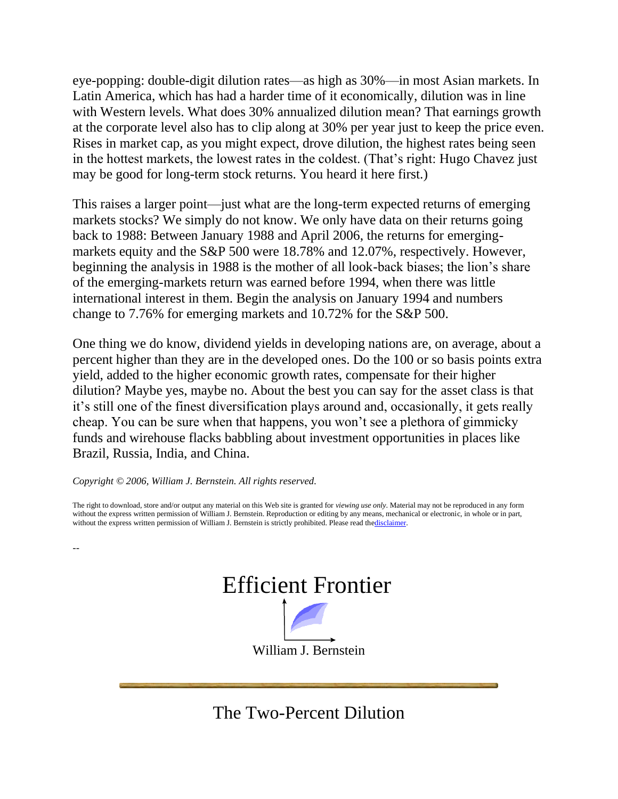eye-popping: double-digit dilution rates—as high as 30%—in most Asian markets. In Latin America, which has had a harder time of it economically, dilution was in line with Western levels. What does 30% annualized dilution mean? That earnings growth at the corporate level also has to clip along at 30% per year just to keep the price even. Rises in market cap, as you might expect, drove dilution, the highest rates being seen in the hottest markets, the lowest rates in the coldest. (That's right: Hugo Chavez just may be good for long-term stock returns. You heard it here first.)

This raises a larger point—just what are the long-term expected returns of emerging markets stocks? We simply do not know. We only have data on their returns going back to 1988: Between January 1988 and April 2006, the returns for emergingmarkets equity and the S&P 500 were 18.78% and 12.07%, respectively. However, beginning the analysis in 1988 is the mother of all look-back biases; the lion's share of the emerging-markets return was earned before 1994, when there was little international interest in them. Begin the analysis on January 1994 and numbers change to 7.76% for emerging markets and 10.72% for the S&P 500.

One thing we do know, dividend yields in developing nations are, on average, about a percent higher than they are in the developed ones. Do the 100 or so basis points extra yield, added to the higher economic growth rates, compensate for their higher dilution? Maybe yes, maybe no. About the best you can say for the asset class is that it's still one of the finest diversification plays around and, occasionally, it gets really cheap. You can be sure when that happens, you won't see a plethora of gimmicky funds and wirehouse flacks babbling about investment opportunities in places like Brazil, Russia, India, and China.

#### *Copyright © 2006, William J. Bernstein. All rights reserved.*

--

The right to download, store and/or output any material on this Web site is granted for *viewing use only*. Material may not be reproduced in any form without the express written permission of William J. Bernstein. Reproduction or editing by any means, mechanical or electronic, in whole or in part, without the express written permission of William J. Bernstein is strictly prohibited. Please read th[edisclaimer.](http://www.efficientfrontier.com/disclaim.htm)



The Two-Percent Dilution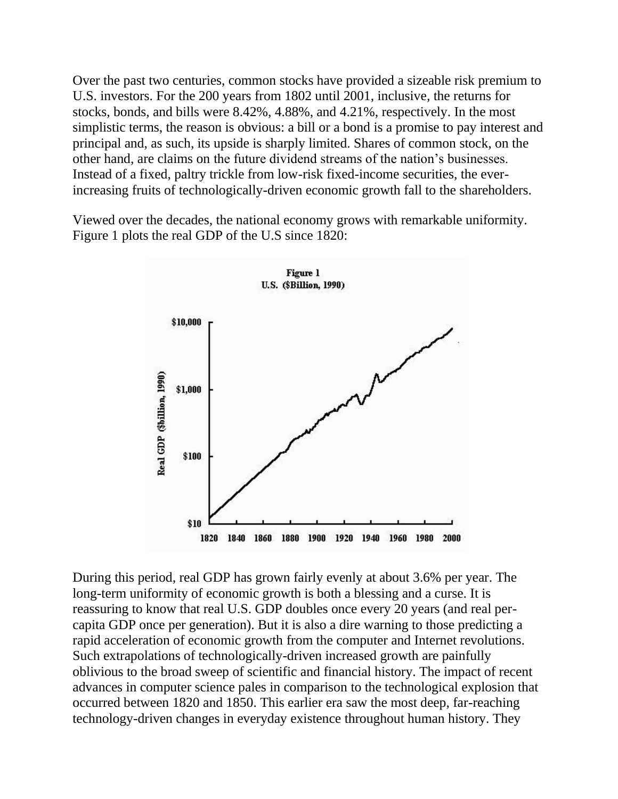Over the past two centuries, common stocks have provided a sizeable risk premium to U.S. investors. For the 200 years from 1802 until 2001, inclusive, the returns for stocks, bonds, and bills were 8.42%, 4.88%, and 4.21%, respectively. In the most simplistic terms, the reason is obvious: a bill or a bond is a promise to pay interest and principal and, as such, its upside is sharply limited. Shares of common stock, on the other hand, are claims on the future dividend streams of the nation's businesses. Instead of a fixed, paltry trickle from low-risk fixed-income securities, the everincreasing fruits of technologically-driven economic growth fall to the shareholders.

Viewed over the decades, the national economy grows with remarkable uniformity. Figure 1 plots the real GDP of the U.S since 1820:



During this period, real GDP has grown fairly evenly at about 3.6% per year. The long-term uniformity of economic growth is both a blessing and a curse. It is reassuring to know that real U.S. GDP doubles once every 20 years (and real percapita GDP once per generation). But it is also a dire warning to those predicting a rapid acceleration of economic growth from the computer and Internet revolutions. Such extrapolations of technologically-driven increased growth are painfully oblivious to the broad sweep of scientific and financial history. The impact of recent advances in computer science pales in comparison to the technological explosion that occurred between 1820 and 1850. This earlier era saw the most deep, far-reaching technology-driven changes in everyday existence throughout human history. They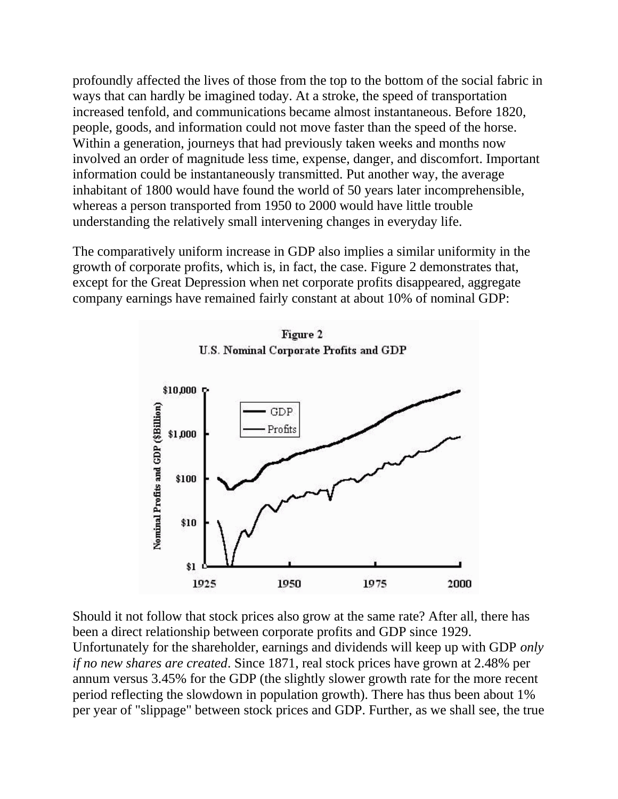profoundly affected the lives of those from the top to the bottom of the social fabric in ways that can hardly be imagined today. At a stroke, the speed of transportation increased tenfold, and communications became almost instantaneous. Before 1820, people, goods, and information could not move faster than the speed of the horse. Within a generation, journeys that had previously taken weeks and months now involved an order of magnitude less time, expense, danger, and discomfort. Important information could be instantaneously transmitted. Put another way, the average inhabitant of 1800 would have found the world of 50 years later incomprehensible, whereas a person transported from 1950 to 2000 would have little trouble understanding the relatively small intervening changes in everyday life.

The comparatively uniform increase in GDP also implies a similar uniformity in the growth of corporate profits, which is, in fact, the case. Figure 2 demonstrates that, except for the Great Depression when net corporate profits disappeared, aggregate company earnings have remained fairly constant at about 10% of nominal GDP:





Should it not follow that stock prices also grow at the same rate? After all, there has been a direct relationship between corporate profits and GDP since 1929. Unfortunately for the shareholder, earnings and dividends will keep up with GDP *only if no new shares are created*. Since 1871, real stock prices have grown at 2.48% per annum versus 3.45% for the GDP (the slightly slower growth rate for the more recent period reflecting the slowdown in population growth). There has thus been about 1% per year of "slippage" between stock prices and GDP. Further, as we shall see, the true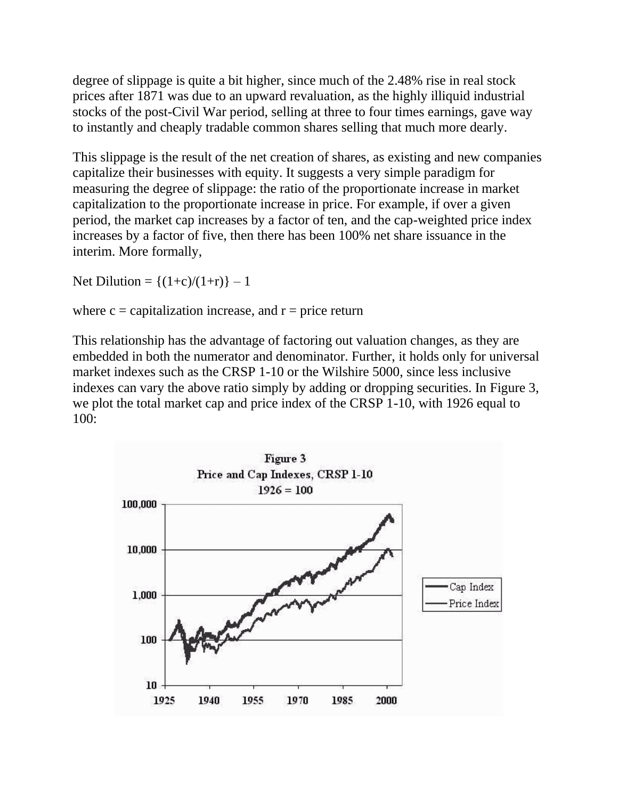degree of slippage is quite a bit higher, since much of the 2.48% rise in real stock prices after 1871 was due to an upward revaluation, as the highly illiquid industrial stocks of the post-Civil War period, selling at three to four times earnings, gave way to instantly and cheaply tradable common shares selling that much more dearly.

This slippage is the result of the net creation of shares, as existing and new companies capitalize their businesses with equity. It suggests a very simple paradigm for measuring the degree of slippage: the ratio of the proportionate increase in market capitalization to the proportionate increase in price. For example, if over a given period, the market cap increases by a factor of ten, and the cap-weighted price index increases by a factor of five, then there has been 100% net share issuance in the interim. More formally,

Net Dilution =  $\{(1+c)/(1+r)\} - 1$ 

where  $c =$  capitalization increase, and  $r =$  price return

This relationship has the advantage of factoring out valuation changes, as they are embedded in both the numerator and denominator. Further, it holds only for universal market indexes such as the CRSP 1-10 or the Wilshire 5000, since less inclusive indexes can vary the above ratio simply by adding or dropping securities. In Figure 3, we plot the total market cap and price index of the CRSP 1-10, with 1926 equal to 100:

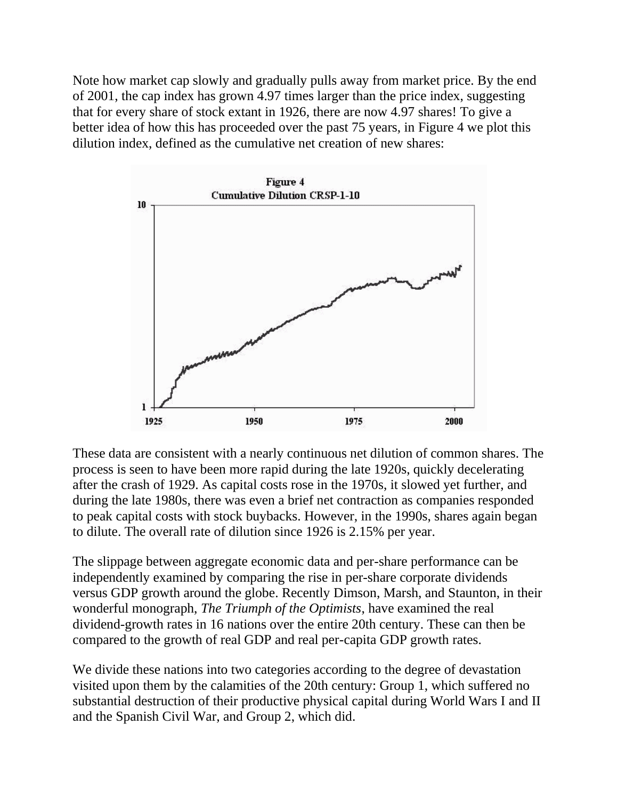Note how market cap slowly and gradually pulls away from market price. By the end of 2001, the cap index has grown 4.97 times larger than the price index, suggesting that for every share of stock extant in 1926, there are now 4.97 shares! To give a better idea of how this has proceeded over the past 75 years, in Figure 4 we plot this dilution index, defined as the cumulative net creation of new shares:



These data are consistent with a nearly continuous net dilution of common shares. The process is seen to have been more rapid during the late 1920s, quickly decelerating after the crash of 1929. As capital costs rose in the 1970s, it slowed yet further, and during the late 1980s, there was even a brief net contraction as companies responded to peak capital costs with stock buybacks. However, in the 1990s, shares again began to dilute. The overall rate of dilution since 1926 is 2.15% per year.

The slippage between aggregate economic data and per-share performance can be independently examined by comparing the rise in per-share corporate dividends versus GDP growth around the globe. Recently Dimson, Marsh, and Staunton, in their wonderful monograph, *The Triumph of the Optimists*, have examined the real dividend-growth rates in 16 nations over the entire 20th century. These can then be compared to the growth of real GDP and real per-capita GDP growth rates.

We divide these nations into two categories according to the degree of devastation visited upon them by the calamities of the 20th century: Group 1, which suffered no substantial destruction of their productive physical capital during World Wars I and II and the Spanish Civil War, and Group 2, which did.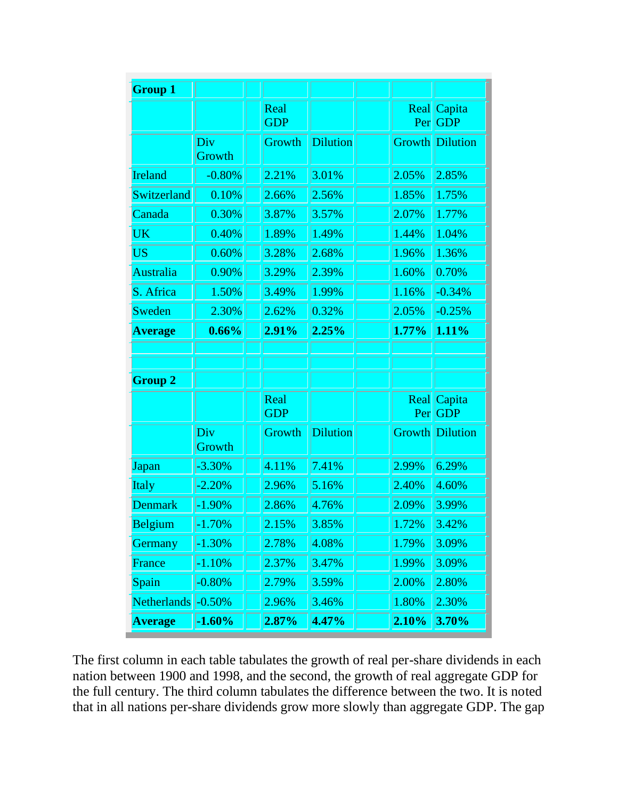| <b>Group 1</b> |               |                    |                 |             |                      |
|----------------|---------------|--------------------|-----------------|-------------|----------------------|
|                |               | Real<br><b>GDP</b> |                 | Real<br>Per | Capita<br><b>GDP</b> |
|                | Div<br>Growth | Growth             | <b>Dilution</b> | Growth      | Dilution             |
| Ireland        | $-0.80%$      | 2.21%              | 3.01%           | 2.05%       | 2.85%                |
| Switzerland    | 0.10%         | 2.66%              | 2.56%           | 1.85%       | 1.75%                |
| Canada         | 0.30%         | 3.87%              | 3.57%           | 2.07%       | 1.77%                |
| <b>UK</b>      | 0.40%         | 1.89%              | 1.49%           | 1.44%       | 1.04%                |
| <b>US</b>      | 0.60%         | 3.28%              | 2.68%           | 1.96%       | 1.36%                |
| Australia      | 0.90%         | 3.29%              | 2.39%           | 1.60%       | 0.70%                |
| S. Africa      | 1.50%         | 3.49%              | 1.99%           | 1.16%       | $-0.34%$             |
| Sweden         | 2.30%         | 2.62%              | 0.32%           | 2.05%       | $-0.25%$             |
| <b>Average</b> | 0.66%         | 2.91%              | 2.25%           | 1.77%       | 1.11%                |
|                |               |                    |                 |             |                      |
|                |               |                    |                 |             |                      |
| <b>Group 2</b> |               | Real<br><b>GDP</b> |                 | Real<br>Per | Capita<br><b>GDP</b> |
|                | Div<br>Growth | Growth             | <b>Dilution</b> | Growth      | Dilution             |
| Japan          | $-3.30%$      | 4.11%              | 7.41%           | 2.99%       | 6.29%                |
| Italy          | $-2.20%$      | 2.96%              | 5.16%           | 2.40%       | 4.60%                |
| <b>Denmark</b> | $-1.90%$      | 2.86%              | 4.76%           | 2.09%       | 3.99%                |
| Belgium        | $-1.70\%$     | 2.15%              | 3.85%           | 1.72%       | 3.42%                |
| <b>Germany</b> | $-1.30\%$     | 2.78%              | 4.08%           | 1.79%       | 3.09%                |
| France         | $-1.10%$      | 2.37%              | 3.47%           | 1.99%       | 3.09%                |
| Spain          | $-0.80\%$     | 2.79%              | 3.59%           | 2.00%       | 2.80%                |
| Netherlands    | $-0.50%$      | 2.96%              | 3.46%           | 1.80%       | 2.30%                |
| <b>Average</b> | $-1.60\%$     | 2.87%              | 4.47%           | 2.10%       | 3.70%                |

The first column in each table tabulates the growth of real per-share dividends in each nation between 1900 and 1998, and the second, the growth of real aggregate GDP for the full century. The third column tabulates the difference between the two. It is noted that in all nations per-share dividends grow more slowly than aggregate GDP. The gap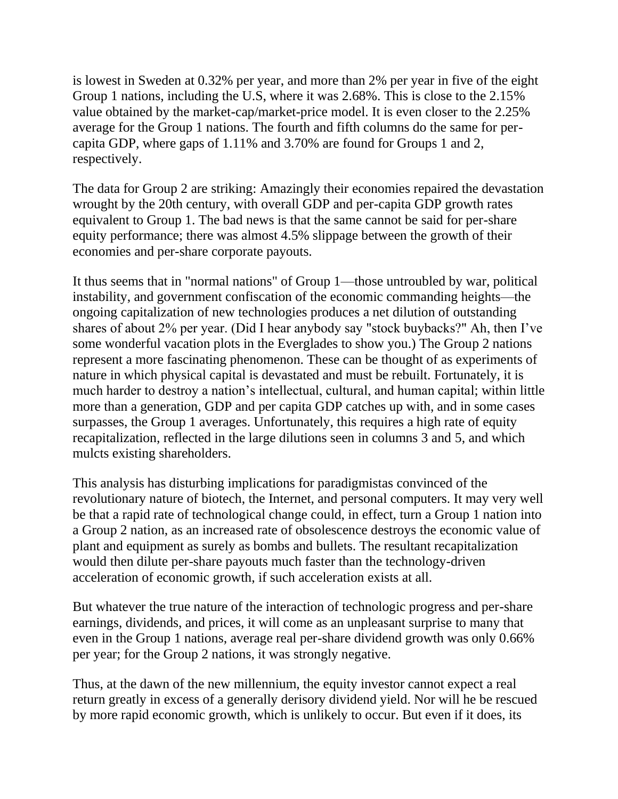is lowest in Sweden at 0.32% per year, and more than 2% per year in five of the eight Group 1 nations, including the U.S, where it was 2.68%. This is close to the 2.15% value obtained by the market-cap/market-price model. It is even closer to the 2.25% average for the Group 1 nations. The fourth and fifth columns do the same for percapita GDP, where gaps of 1.11% and 3.70% are found for Groups 1 and 2, respectively.

The data for Group 2 are striking: Amazingly their economies repaired the devastation wrought by the 20th century, with overall GDP and per-capita GDP growth rates equivalent to Group 1. The bad news is that the same cannot be said for per-share equity performance; there was almost 4.5% slippage between the growth of their economies and per-share corporate payouts.

It thus seems that in "normal nations" of Group 1—those untroubled by war, political instability, and government confiscation of the economic commanding heights—the ongoing capitalization of new technologies produces a net dilution of outstanding shares of about 2% per year. (Did I hear anybody say "stock buybacks?" Ah, then I've some wonderful vacation plots in the Everglades to show you.) The Group 2 nations represent a more fascinating phenomenon. These can be thought of as experiments of nature in which physical capital is devastated and must be rebuilt. Fortunately, it is much harder to destroy a nation's intellectual, cultural, and human capital; within little more than a generation, GDP and per capita GDP catches up with, and in some cases surpasses, the Group 1 averages. Unfortunately, this requires a high rate of equity recapitalization, reflected in the large dilutions seen in columns 3 and 5, and which mulcts existing shareholders.

This analysis has disturbing implications for paradigmistas convinced of the revolutionary nature of biotech, the Internet, and personal computers. It may very well be that a rapid rate of technological change could, in effect, turn a Group 1 nation into a Group 2 nation, as an increased rate of obsolescence destroys the economic value of plant and equipment as surely as bombs and bullets. The resultant recapitalization would then dilute per-share payouts much faster than the technology-driven acceleration of economic growth, if such acceleration exists at all.

But whatever the true nature of the interaction of technologic progress and per-share earnings, dividends, and prices, it will come as an unpleasant surprise to many that even in the Group 1 nations, average real per-share dividend growth was only 0.66% per year; for the Group 2 nations, it was strongly negative.

Thus, at the dawn of the new millennium, the equity investor cannot expect a real return greatly in excess of a generally derisory dividend yield. Nor will he be rescued by more rapid economic growth, which is unlikely to occur. But even if it does, its